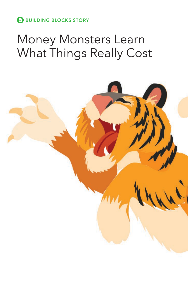#### **BUILDING BLOCKS STORY**

## Money Monsters Learn What Things Really Cost

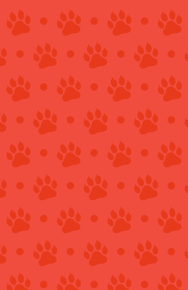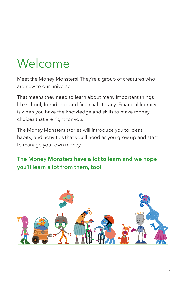# Welcome

Meet the Money Monsters! They're a group of creatures who are new to our universe.

That means they need to learn about many important things like school, friendship, and financial literacy. Financial literacy is when you have the knowledge and skills to make money choices that are right for you.

The Money Monsters stories will introduce you to ideas, habits, and activities that you'll need as you grow up and start to manage your own money.

#### **The Money Monsters have a lot to learn and we hope you'll learn a lot from them, too!**

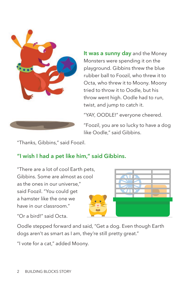

**It was a sunny day** and the Money Monsters were spending it on the playground. Gibbins threw the blue rubber ball to Foozil, who threw it to Octa, who threw it to Moony. Moony tried to throw it to Oodle, but his throw went high. Oodle had to run, twist, and jump to catch it.

"YAY, OODLE!" everyone cheered.

"Foozil, you are so lucky to have a dog like Oodle," said Gibbins.

"Thanks, Gibbins," said Foozil.

#### **"I wish I had a pet like him," said Gibbins.**

"There are a lot of cool Earth pets, Gibbins. Some are almost as cool as the ones in our universe," said Foozil. "You could get a hamster like the one we have in our classroom"

"Or a bird!" said Octa.



Oodle stepped forward and said, "Get a dog. Even though Earth dogs aren't as smart as I am, they're still pretty great."

"I vote for a cat," added Moony.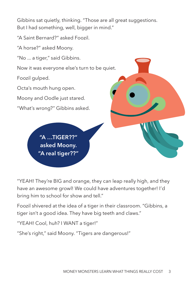Gibbins sat quietly, thinking. "Those are all great suggestions. But I had something, well, bigger in mind."

"A Saint Bernard?" asked Foozil.

"A horse?" asked Moony.

"No ... a tiger," said Gibbins.

Now it was everyone else's turn to be quiet.

Foozil gulped.

Octa's mouth hung open.

Moony and Oodle just stared.

"What's wrong?" Gibbins asked.

**"A …TIGER??" asked Moony. "A real tiger??"**

"YEAH! They're BIG and orange, they can leap really high, and they have an awesome growl! We could have adventures together! I'd bring him to school for show and tell."

Foozil shivered at the idea of a tiger in their classroom. "Gibbins, a tiger isn't a good idea. They have big teeth and claws."

"YEAH! Cool, huh? I WANT a tiger!"

"She's right," said Moony. "Tigers are dangerous!"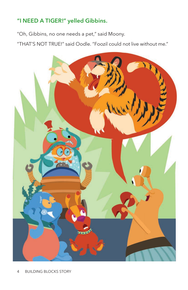#### **"I NEED A TIGER!" yelled Gibbins.**

"Oh, Gibbins, no one needs a pet," said Moony.

"THAT'S NOT TRUE!" said Oodle. "Foozil could not live without me."

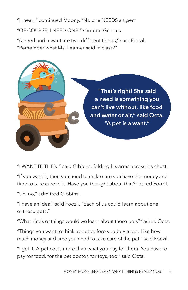"I mean," continued Moony, "No one NEEDS a tiger."

"OF COURSE, I NEED ONE!" shouted Gibbins.

"A need and a want are two different things," said Foozil. "Remember what Ms. Learner said in class?"



"I WANT IT, THEN!" said Gibbins, folding his arms across his chest.

"If you want it, then you need to make sure you have the money and time to take care of it. Have you thought about that?" asked Foozil.

"Uh, no," admitted Gibbins.

"I have an idea," said Foozil. "Each of us could learn about one of these pets."

"What kinds of things would we learn about these pets?" asked Octa.

"Things you want to think about before you buy a pet. Like how much money and time you need to take care of the pet," said Foozil.

"I get it. A pet costs more than what you pay for them. You have to pay for food, for the pet doctor, for toys, too," said Octa.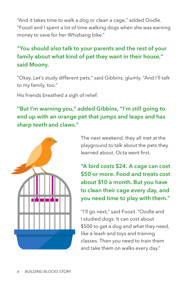"And it takes time to walk a dog or clean a cage," added Oodle. "Foozil and I spent a lot of time walking dogs when she was earning money to save for her Whizbang bike."

#### **"You should also talk to your parents and the rest of your family about what kind of pet they want in their house," said Moony.**

"Okay. Let's study different pets," said Gibbins, glumly. "And I'll talk to my family, too."

His friends breathed a sigh of relief.

#### **"But I'm warning you," added Gibbins, "I'm still going to end up with an orange pet that jumps and leaps and has sharp teeth and claws."**



The next weekend, they all met at the playground to talk about the pets they learned about. Octa went first.

**"A bird costs \$24. A cage can cost \$50 or more. Food and treats cost about \$10 a month. But you have to clean their cage every day, and you need time to play with them."**

"I'll go next," said Foozil. "Oodle and I studied dogs. It can cost about \$500 to get a dog and what they need, like a leash and toys and training classes. Then you need to train them and take them on walks every day."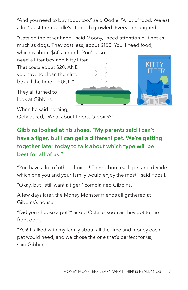"And you need to buy food, too," said Oodle. "A lot of food. We eat a lot." Just then Oodle's stomach growled. Everyone laughed.

"Cats on the other hand," said Moony, "need attention but not as much as dogs. They cost less, about \$150. You'll need food, which is about \$60 a month. You'll also

need a litter box and kitty litter. That costs about \$20. AND you have to clean their litter box all the time — YUCK."

They all turned to look at Gibbins.

When he said nothing, Octa asked, "What about tigers, Gibbins?"



### **Gibbins looked at his shoes. "My parents said I can't have a tiger, but I can get a different pet. We're getting together later today to talk about which type will be best for all of us."**

"You have a lot of other choices! Think about each pet and decide which one you and your family would enjoy the most," said Foozil.

"Okay, but I still want a tiger," complained Gibbins.

A few days later, the Money Monster friends all gathered at Gibbins's house.

"Did you choose a pet?" asked Octa as soon as they got to the front door.

"Yes! I talked with my family about all the time and money each pet would need, and we chose the one that's perfect for us," said Gibbins.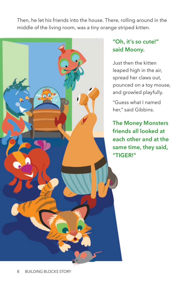Then, he let his friends into the house. There, rolling around in the middle of the living room, was a tiny orange striped kitten.

## **"Oh, it's so cute!" said Moony.** Just then the kitten leaped high in the air, spread her claws out, pounced on a toy mouse, and growled playfully. "Guess what I named her," said Gibbins.

**The Money Monsters friends all looked at each other and at the same time, they said, "TIGER!"**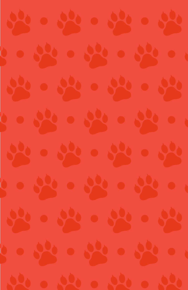